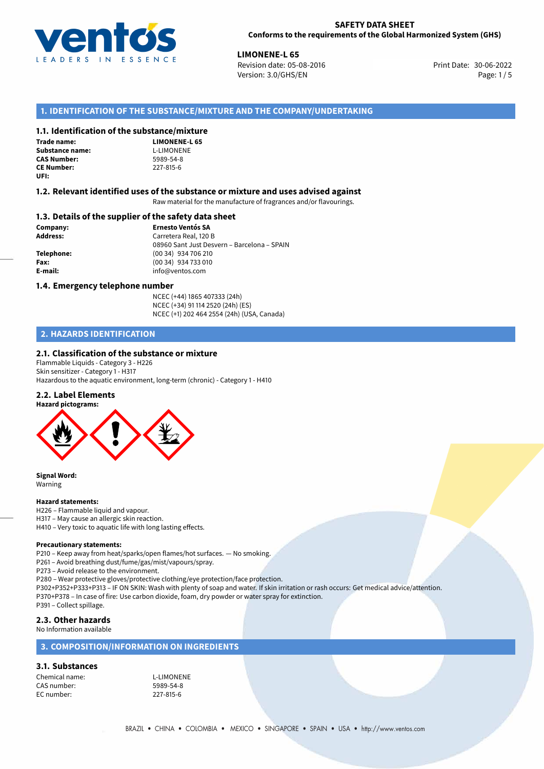

**LIMONENE-L 65**<br>30-06-2022 **Revision date: 05-08-2016** Print Date: 30-06-2022 Version: 3.0/GHS/EN Page: 1/5

## **1. IDENTIFICATION OF THE SUBSTANCE/MIXTURE AND THE COMPANY/UNDERTAKING**

#### **1.1. Identification of the substance/mixture**

**Trade name: Substance name:** L-LIMONENE<br> **CAS Number:** 5989-54-8 **CAS Number: CE Number:** 227-815-6 **UFI:**

**LIMONENE-L 65**

#### **1.2. Relevant identified uses of the substance or mixture and uses advised against**

Raw material for the manufacture of fragrances and/or flavourings.

### **1.3. Details of the supplier of the safety data sheet**

**Company: Ernesto Ventós SA Address:** Carretera Real, 120 B 08960 Sant Just Desvern – Barcelona – SPAIN **Telephone:** (00 34) 934 706 210 **Fax:** (00 34) 934 733 010 **E-mail:** info@ventos.com

#### **1.4. Emergency telephone number**

NCEC (+44) 1865 407333 (24h) NCEC (+34) 91 114 2520 (24h) (ES) NCEC (+1) 202 464 2554 (24h) (USA, Canada)

## **2. HAZARDS IDENTIFICATION**

## **2.1. Classification of the substance or mixture**

Flammable Liquids - Category 3 - H226 Skin sensitizer - Category 1 - H317 Hazardous to the aquatic environment, long-term (chronic) - Category 1 - H410

## **2.2. Label Elements**



**Signal Word:** Warning

#### **Hazard statements:**

H226 – Flammable liquid and vapour.

- H317 May cause an allergic skin reaction.
- H410 Very toxic to aquatic life with long lasting effects.

#### **Precautionary statements:**

P210 – Keep away from heat/sparks/open flames/hot surfaces. — No smoking.

P261 – Avoid breathing dust/fume/gas/mist/vapours/spray.

P273 – Avoid release to the environment.

P280 – Wear protective gloves/protective clothing/eye protection/face protection.

P302+P352+P333+P313 – IF ON SKIN: Wash with plenty of soap and water. If skin irritation or rash occurs: Get medical advice/attention. P370+P378 – In case of fire: Use carbon dioxide, foam, dry powder or water spray for extinction.

## P391 – Collect spillage.

## **2.3. Other hazards**

No Information available

## **3. COMPOSITION/INFORMATION ON INGREDIENTS**

## **3.1. Substances**

Chemical name: L-LIMONENE CAS number: 5989-54-8<br>EC number: 227-815-6 EC number: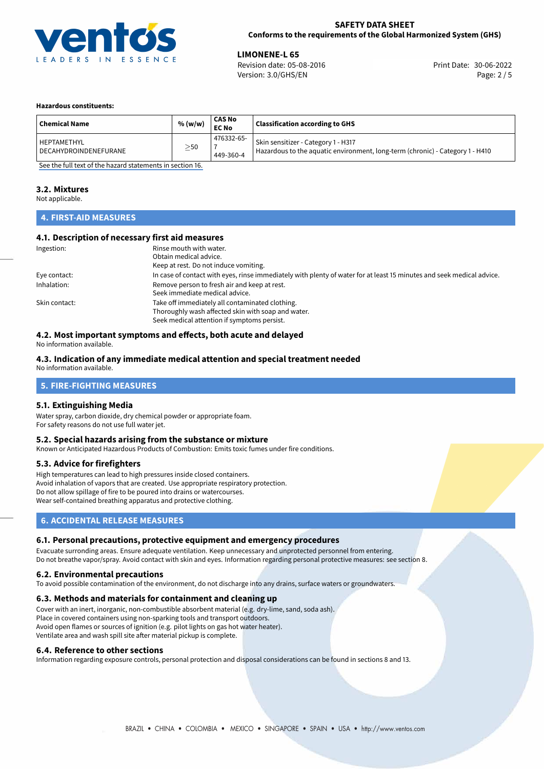

**LIMONENE-L 65**<br>Revision date: 05-08-2016 **Print Date: 30-06-2022** Version: 3.0/GHS/EN Page: 2 / 5

#### **Hazardous constituents:**

| <b>Chemical Name</b>  | % (w/w)   | <b>CAS No</b><br><b>EC No</b> | <b>Classification according to GHS</b>                                        |
|-----------------------|-----------|-------------------------------|-------------------------------------------------------------------------------|
| HEPTAMETHYL           | $\geq$ 50 | 476332-65-                    | Skin sensitizer - Category 1 - H317                                           |
| DECAHYDROINDENEFURANE |           | 449-360-4                     | Hazardous to the aquatic environment, long-term (chronic) - Category 1 - H410 |

[See the full text of the hazard statements in section 16.](#page-4-0)

#### **3.2. Mixtures**

Not applicable.

## **4. FIRST-AID MEASURES**

## **4.1. Description of necessary first aid measures**

| Ingestion:    | Rinse mouth with water.                                                                                               |  |  |
|---------------|-----------------------------------------------------------------------------------------------------------------------|--|--|
|               | Obtain medical advice.                                                                                                |  |  |
|               | Keep at rest. Do not induce vomiting.                                                                                 |  |  |
| Eye contact:  | In case of contact with eyes, rinse immediately with plenty of water for at least 15 minutes and seek medical advice. |  |  |
| Inhalation:   | Remove person to fresh air and keep at rest.                                                                          |  |  |
|               | Seek immediate medical advice.                                                                                        |  |  |
| Skin contact: | Take off immediately all contaminated clothing.                                                                       |  |  |
|               | Thoroughly wash affected skin with soap and water.                                                                    |  |  |
|               | Seek medical attention if symptoms persist.                                                                           |  |  |

## **4.2. Most important symptoms and effects, both acute and delayed**

No information available.

## **4.3. Indication of any immediate medical attention and special treatment needed**

No information available.

## **5. FIRE-FIGHTING MEASURES**

## **5.1. Extinguishing Media**

Water spray, carbon dioxide, dry chemical powder or appropriate foam. For safety reasons do not use full water jet.

### **5.2. Special hazards arising from the substance or mixture**

Known or Anticipated Hazardous Products of Combustion: Emits toxic fumes under fire conditions.

#### **5.3. Advice for firefighters**

High temperatures can lead to high pressures inside closed containers. Avoid inhalation of vapors that are created. Use appropriate respiratory protection. Do not allow spillage of fire to be poured into drains or watercourses. Wear self-contained breathing apparatus and protective clothing.

## **6. ACCIDENTAL RELEASE MEASURES**

#### **6.1. Personal precautions, protective equipment and emergency procedures**

Evacuate surronding areas. Ensure adequate ventilation. Keep unnecessary and unprotected personnel from entering. Do not breathe vapor/spray. Avoid contact with skin and eyes. Information regarding personal protective measures: see section 8.

#### **6.2. Environmental precautions**

To avoid possible contamination of the environment, do not discharge into any drains, surface waters or groundwaters.

#### **6.3. Methods and materials for containment and cleaning up**

Cover with an inert, inorganic, non-combustible absorbent material (e.g. dry-lime, sand, soda ash). Place in covered containers using non-sparking tools and transport outdoors. Avoid open flames or sources of ignition (e.g. pilot lights on gas hot water heater). Ventilate area and wash spill site after material pickup is complete.

#### **6.4. Reference to other sections**

Information regarding exposure controls, personal protection and disposal considerations can be found in sections 8 and 13.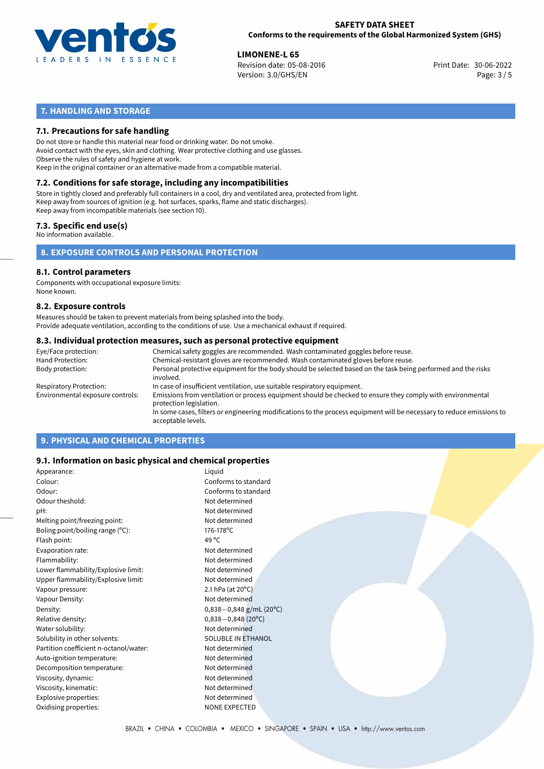

**LIMONENE-L 65**<br>Revision date: 05-08-2016 **Print Date: 30-06-2022** Version: 3.0/GHS/EN Page: 3 / 5

# **7. HANDLING AND STORAGE**

## **7.1. Precautions for safe handling**

Do not store or handle this material near food or drinking water. Do not smoke. Avoid contact with the eyes, skin and clothing. Wear protective clothing and use glasses. Observe the rules of safety and hygiene at work. Keep in the original container or an alternative made from a compatible material.

# **7.2. Conditions for safe storage, including any incompatibilities**

Store in tightly closed and preferably full containers in a cool, dry and ventilated area, protected from light. Keep away from sources of ignition (e.g. hot surfaces, sparks, flame and static discharges). Keep away from incompatible materials (see section 10).

## **7.3. Specific end use(s)**

No information available.

**8. EXPOSURE CONTROLS AND PERSONAL PROTECTION**

# **8.1. Control parameters**

Components with occupational exposure limits: None known.

#### **8.2. Exposure controls**

Measures should be taken to prevent materials from being splashed into the body. Provide adequate ventilation, according to the conditions of use. Use a mechanical exhaust if required.

#### **8.3. Individual protection measures, such as personal protective equipment**

| Eye/Face protection:             | Chemical safety goggles are recommended. Wash contaminated goggles before reuse.                                                            |  |  |  |  |
|----------------------------------|---------------------------------------------------------------------------------------------------------------------------------------------|--|--|--|--|
| Hand Protection:                 | Chemical-resistant gloves are recommended. Wash contaminated gloves before reuse.                                                           |  |  |  |  |
| Body protection:                 | Personal protective equipment for the body should be selected based on the task being performed and the risks<br>involved.                  |  |  |  |  |
| Respiratory Protection:          | In case of insufficient ventilation, use suitable respiratory equipment.                                                                    |  |  |  |  |
| Environmental exposure controls: | Emissions from ventilation or process equipment should be checked to ensure they comply with environmental<br>protection legislation.       |  |  |  |  |
|                                  | In some cases, filters or engineering modifications to the process equipment will be necessary to reduce emissions to<br>acceptable levels. |  |  |  |  |
|                                  |                                                                                                                                             |  |  |  |  |

## **9. PHYSICAL AND CHEMICAL PROPERTIES**

## **9.1. Information on basic physical and chemical properties**

| Appearance:                            | Liquid                    |
|----------------------------------------|---------------------------|
| Colour:                                | Conforms to standard      |
| Odour:                                 | Conforms to standard      |
| Odour theshold:                        | Not determined            |
| pH:                                    | Not determined            |
| Melting point/freezing point:          | Not determined            |
| Boling point/boiling range $(°C)$ :    | 176-178°C                 |
| Flash point:                           | 49 $^{\circ}$ C           |
| Evaporation rate:                      | Not determined            |
| Flammability:                          | Not determined            |
| Lower flammability/Explosive limit:    | Not determined            |
| Upper flammability/Explosive limit:    | Not determined            |
| Vapour pressure:                       | 2.1 hPa (at 20°C)         |
| Vapour Density:                        | Not determined            |
| Density:                               | $0,838-0,848$ g/mL (20°C) |
| Relative density:                      | $0,838 - 0,848$ (20°C)    |
| Water solubility:                      | Not determined            |
| Solubility in other solvents:          | SOLUBLE IN ETHANOL        |
| Partition coefficient n-octanol/water: | Not determined            |
| Auto-ignition temperature:             | Not determined            |
| Decomposition temperature:             | Not determined            |
| Viscosity, dynamic:                    | Not determined            |
| Viscosity, kinematic:                  | Not determined            |
| Explosive properties:                  | Not determined            |
| Oxidising properties:                  | <b>NONE EXPECTED</b>      |
|                                        |                           |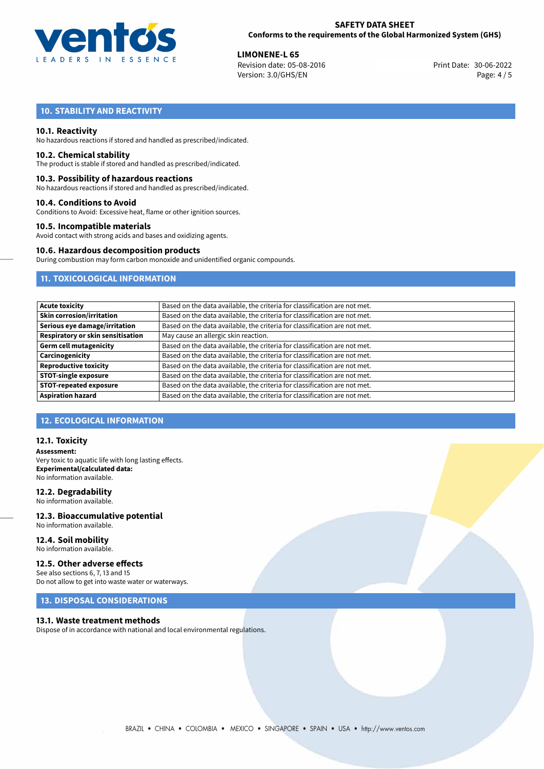

**LIMONENE-L 65**<br>Revision date: 05-08-2016 **Print Date: 30-06-2022** Version: 3.0/GHS/EN Page: 4 / 5

# **10. STABILITY AND REACTIVITY**

### **10.1. Reactivity**

No hazardous reactions if stored and handled as prescribed/indicated.

#### **10.2. Chemical stability**

The product is stable if stored and handled as prescribed/indicated.

#### **10.3. Possibility of hazardous reactions**

No hazardous reactions if stored and handled as prescribed/indicated.

#### **10.4. Conditions to Avoid**

Conditions to Avoid: Excessive heat, flame or other ignition sources.

#### **10.5. Incompatible materials**

Avoid contact with strong acids and bases and oxidizing agents.

#### **10.6. Hazardous decomposition products**

During combustion may form carbon monoxide and unidentified organic compounds.

## **11. TOXICOLOGICAL INFORMATION**

| <b>Acute toxicity</b>             | Based on the data available, the criteria for classification are not met. |  |  |
|-----------------------------------|---------------------------------------------------------------------------|--|--|
|                                   |                                                                           |  |  |
| Skin corrosion/irritation         | Based on the data available, the criteria for classification are not met. |  |  |
| Serious eye damage/irritation     | Based on the data available, the criteria for classification are not met. |  |  |
| Respiratory or skin sensitisation | May cause an allergic skin reaction.                                      |  |  |
| Germ cell mutagenicity            | Based on the data available, the criteria for classification are not met. |  |  |
| Carcinogenicity                   | Based on the data available, the criteria for classification are not met. |  |  |
| Reproductive toxicity             | Based on the data available, the criteria for classification are not met. |  |  |
| <b>STOT-single exposure</b>       | Based on the data available, the criteria for classification are not met. |  |  |
| <b>STOT-repeated exposure</b>     | Based on the data available, the criteria for classification are not met. |  |  |
| <b>Aspiration hazard</b>          | Based on the data available, the criteria for classification are not met. |  |  |

## **12. ECOLOGICAL INFORMATION**

#### **12.1. Toxicity**

**Assessment:** Very toxic to aquatic life with long lasting effects. **Experimental/calculated data:** No information available.

### **12.2. Degradability**

No information available.

#### **12.3. Bioaccumulative potential** No information available.

**12.4. Soil mobility** No information available.

## **12.5. Other adverse effects**

See also sections 6, 7, 13 and 15 Do not allow to get into waste water or waterways.

## **13. DISPOSAL CONSIDERATIONS**

#### **13.1. Waste treatment methods**

Dispose of in accordance with national and local environmental regulations.